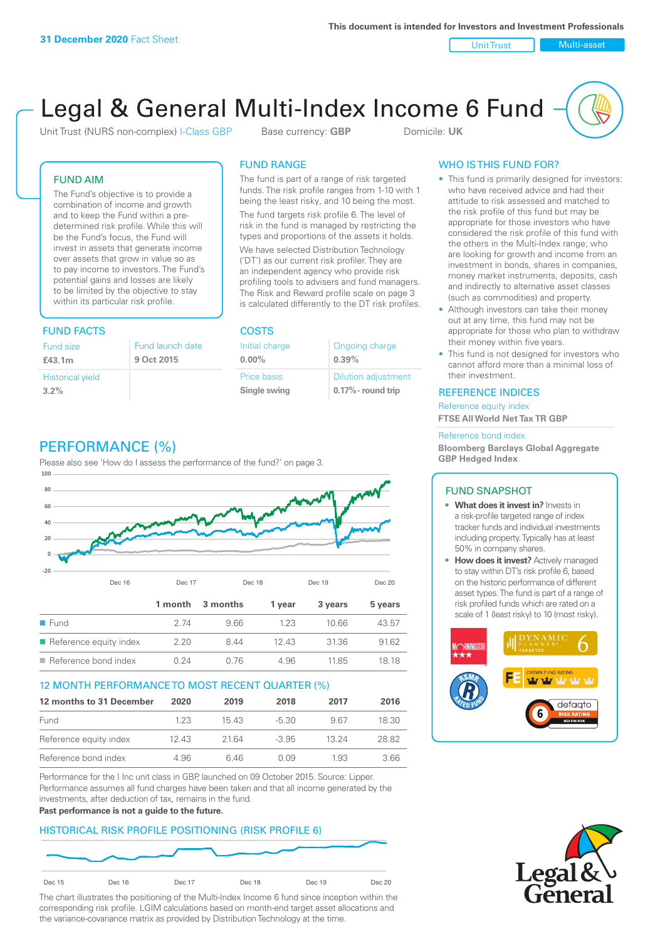Unit Trust Nulti-asset

# Legal & General Multi-Index Income 6 Fund

Unit Trust (NURS non-complex) I-Class GBP Base currency: **GBP** Domicile: UK

### FUND AIM

The Fund's objective is to provide a combination of income and growth and to keep the Fund within a predetermined risk profile. While this will be the Fund's focus, the Fund will invest in assets that generate income over assets that grow in value so as to pay income to investors. The Fund's potential gains and losses are likely to be limited by the objective to stay within its particular risk profile.

### FUND FACTS COSTS

| Fund size                       | Fund launch date |
|---------------------------------|------------------|
| £43.1m                          | 9 Oct 2015       |
| <b>Historical yield</b><br>3.2% |                  |

### FUND RANGE

The fund is part of a range of risk targeted funds. The risk profile ranges from 1-10 with 1 being the least risky, and 10 being the most.

The fund targets risk profile 6. The level of risk in the fund is managed by restricting the types and proportions of the assets it holds. We have selected Distribution Technology ('DT') as our current risk profiler. They are an independent agency who provide risk profiling tools to advisers and fund managers. The Risk and Reward profile scale on page 3 is calculated differently to the DT risk profiles.

**0.00%**

| Initial charge | Ongoing charge             |
|----------------|----------------------------|
| $0.00\%$       | 0.39%                      |
| Price basis    | <b>Dilution adjustment</b> |
| Single swing   | 0.17% - round trip         |

### PERFORMANCE (%)

Please also see 'How do I assess the performance of the fund?' on page 3.



### 12 MONTH PERFORMANCE TO MOST RECENT QUARTER (%)

| 12 months to 31 December | 2020 | 2019  | 2018    | 2017  | 2016  |
|--------------------------|------|-------|---------|-------|-------|
| Fund                     | 123  | 1543  | -5.30   | 967   | 18.30 |
| Reference equity index   | 1243 | 21.64 | $-3.95$ | 13 24 | 28.82 |
| Reference bond index     | 4.96 | 646   | O 0.9   | 1.93  | 3.66  |

Performance for the I Inc unit class in GBP, launched on 09 October 2015. Source: Lipper. Performance assumes all fund charges have been taken and that all income generated by the investments, after deduction of tax, remains in the fund.

#### **Past performance is not a guide to the future.**

### HISTORICAL RISK PROFILE POSITIONING (RISK PROFILE 6)



The chart illustrates the positioning of the Multi-Index Income 6 fund since inception within the corresponding risk profile. LGIM calculations based on month-end target asset allocations and the variance-covariance matrix as provided by Distribution Technology at the time.

### WHO IS THIS FUND FOR?

- This fund is primarily designed for investors: who have received advice and had their attitude to risk assessed and matched to the risk profile of this fund but may be appropriate for those investors who have considered the risk profile of this fund with the others in the Multi-Index range; who are looking for growth and income from an investment in bonds, shares in companies, money market instruments, deposits, cash and indirectly to alternative asset classes (such as commodities) and property.
- Although investors can take their money out at any time, this fund may not be appropriate for those who plan to withdraw their money within five years.
- This fund is not designed for investors who cannot afford more than a minimal loss of their investment.

### REFERENCE INDICES

Reference equity index **FTSE All World Net Tax TR GBP**

#### Reference bond index

**Bloomberg Barclays Global Aggregate GBP Hedged Index**

### FUND SNAPSHOT

- **• What does it invest in?** Invests in a risk-profile targeted range of index tracker funds and individual investments including property. Typically has at least 50% in company shares.
- **• How does it invest?** Actively managed to stay within DT's risk profile 6, based on the historic performance of different asset types. The fund is part of a range of risk profiled funds which are rated on a scale of 1 (least risky) to 10 (most risky).



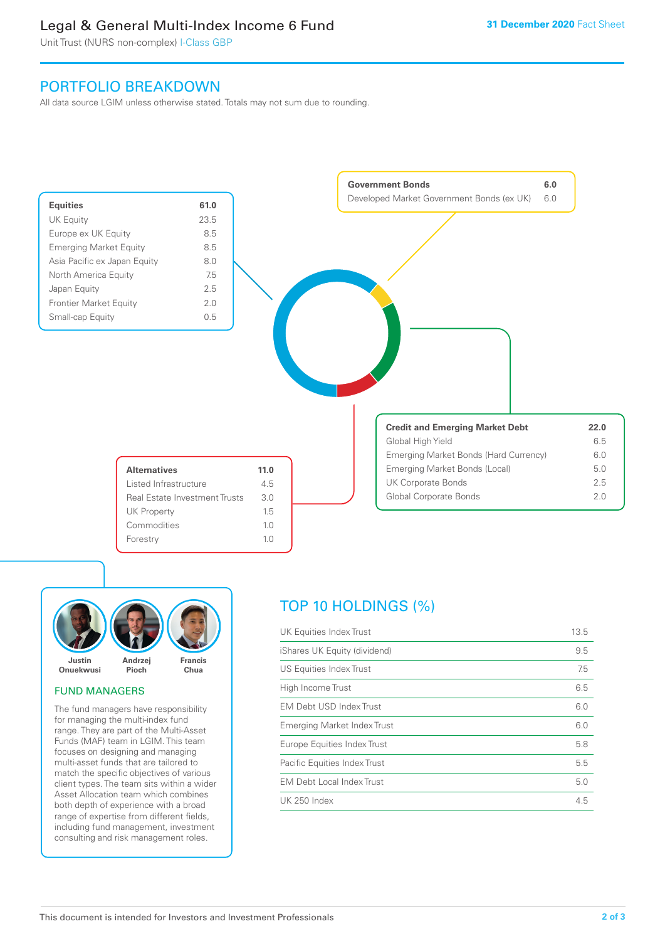### Legal & General Multi-Index Income 6 Fund

Unit Trust (NURS non-complex) I-Class GBP

### PORTFOLIO BREAKDOWN

All data source LGIM unless otherwise stated. Totals may not sum due to rounding.





### FUND MANAGERS

The fund managers have responsibility for managing the multi-index fund range. They are part of the Multi-Asset Funds (MAF) team in LGIM. This team focuses on designing and managing multi-asset funds that are tailored to match the specific objectives of various client types. The team sits within a wider Asset Allocation team which combines both depth of experience with a broad range of expertise from different fields, including fund management, investment consulting and risk management roles.

## TOP 10 HOLDINGS (%)

| UK Equities Index Trust          | 13.5 |
|----------------------------------|------|
| iShares UK Equity (dividend)     | 9.5  |
| US Equities Index Trust          | 7.5  |
| High Income Trust                | 6.5  |
| <b>EM Debt USD Index Trust</b>   | 6.0  |
| Emerging Market Index Trust      | 6.0  |
| Europe Equities Index Trust      | 5.8  |
| Pacific Equities Index Trust     | 5.5  |
| <b>EM Debt Local Index Trust</b> | 5.0  |
| <b>UK 250 Index</b>              | 4.5  |
|                                  |      |